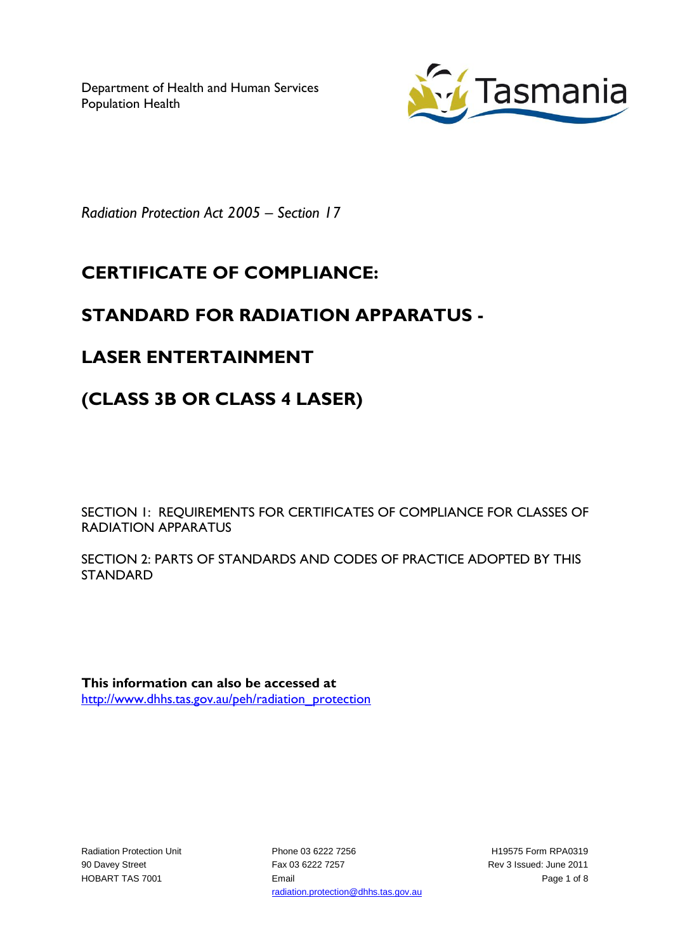Department of Health and Human Services Population Health



*Radiation Protection Act 2005 – Section 17*

# **CERTIFICATE OF COMPLIANCE:**

### **STANDARD FOR RADIATION APPARATUS -**

### **LASER ENTERTAINMENT**

## **(CLASS 3B OR CLASS 4 LASER)**

SECTION 1: REQUIREMENTS FOR CERTIFICATES OF COMPLIANCE FOR CLASSES OF RADIATION APPARATUS

SECTION 2: PARTS OF STANDARDS AND CODES OF PRACTICE ADOPTED BY THIS STANDARD

**This information can also be accessed at** [http://www.dhhs.tas.gov.au/peh/radiation\\_protection](http://www.dhhs.tas.gov.au/peh/radiation_protection)

Radiation Protection Unit 90 Davey Street HOBART TAS 7001

Phone 03 6222 7256 Fax 03 6222 7257 Email radiation.protection@dhhs.tas.gov.au

H19575 Form RPA0319 Rev 3 Issued: June 2011 Page 1 of 8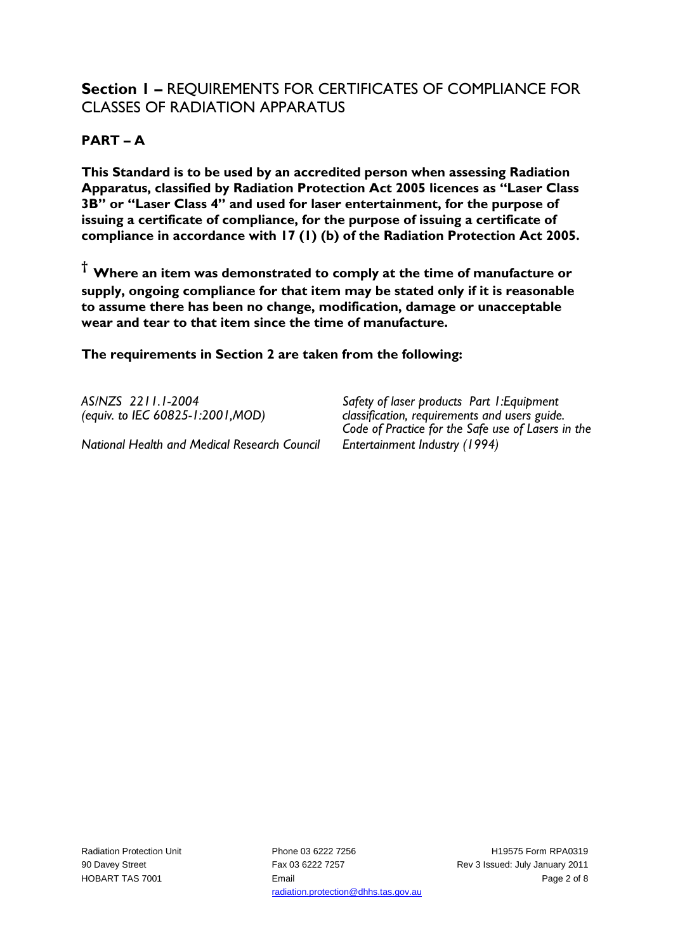### **Section 1 –** REQUIREMENTS FOR CERTIFICATES OF COMPLIANCE FOR CLASSES OF RADIATION APPARATUS

#### **PART – A**

**This Standard is to be used by an accredited person when assessing Radiation Apparatus, classified by Radiation Protection Act 2005 licences as "Laser Class 3B" or "Laser Class 4" and used for laser entertainment, for the purpose of issuing a certificate of compliance, for the purpose of issuing a certificate of compliance in accordance with 17 (1) (b) of the Radiation Protection Act 2005.**

**† Where an item was demonstrated to comply at the time of manufacture or supply, ongoing compliance for that item may be stated only if it is reasonable to assume there has been no change, modification, damage or unacceptable wear and tear to that item since the time of manufacture.** 

**The requirements in Section 2 are taken from the following:**

*AS/NZS 2211.1-2004 (equiv. to IEC 60825-1:2001,MOD)*

*National Health and Medical Research Council*

*Safety of laser products Part 1:Equipment classification, requirements and users guide. Code of Practice for the Safe use of Lasers in the Entertainment Industry (1994)*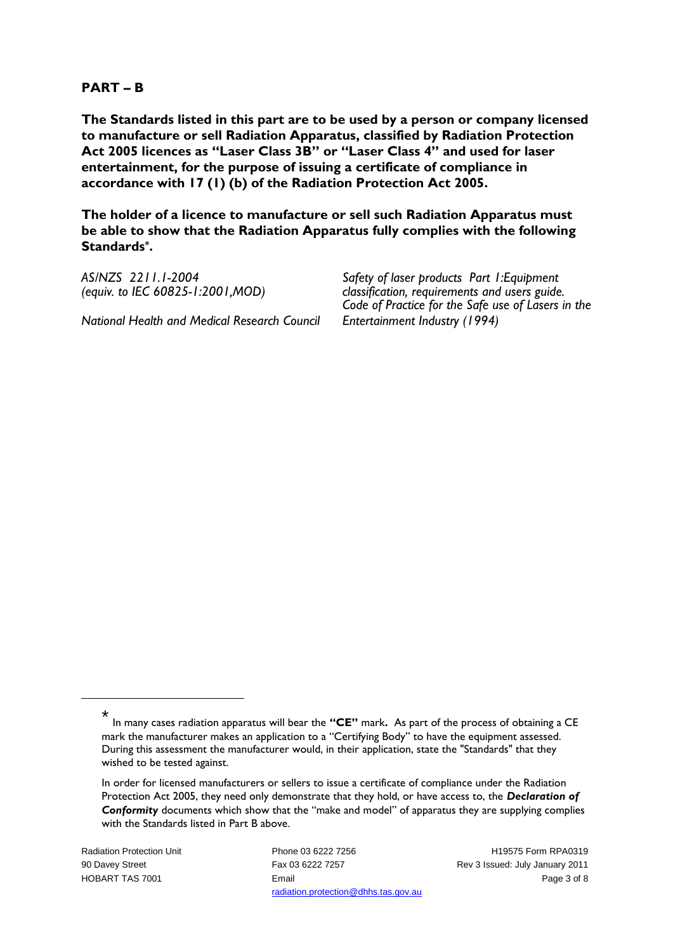#### **PART – B**

**The Standards listed in this part are to be used by a person or company licensed to manufacture or sell Radiation Apparatus, classified by Radiation Protection Act 2005 licences as "Laser Class 3B" or "Laser Class 4" and used for laser entertainment, for the purpose of issuing a certificate of compliance in accordance with 17 (1) (b) of the Radiation Protection Act 2005.**

**The holder of a licence to manufacture or sell such Radiation Apparatus must be able to show that the Radiation Apparatus fully complies with the following Standards\* .**

| AS/NZS 2211.1-2004                           | Safety of laser products Part I: Equipment         |
|----------------------------------------------|----------------------------------------------------|
| (equiv. to IEC 60825-1:2001, MOD)            | classification, requirements and users guide.      |
|                                              | Code of Practice for the Safe use of Lasers in the |
| National Health and Medical Research Council | Entertainment Industry (1994)                      |

Radiation Protection Unit 90 Davey Street HOBART TAS 7001

1

Phone 03 6222 7256 Fax 03 6222 7257 Email radiation.protection@dhhs.tas.gov.au

H19575 Form RPA0319 Rev 3 Issued: July January 2011 Page 3 of 8

<sup>\*</sup> In many cases radiation apparatus will bear the **"CE"** mark**.** As part of the process of obtaining a CE mark the manufacturer makes an application to a "Certifying Body" to have the equipment assessed. During this assessment the manufacturer would, in their application, state the "Standards" that they wished to be tested against.

In order for licensed manufacturers or sellers to issue a certificate of compliance under the Radiation Protection Act 2005, they need only demonstrate that they hold, or have access to, the *Declaration of Conformity* documents which show that the "make and model" of apparatus they are supplying complies with the Standards listed in Part B above.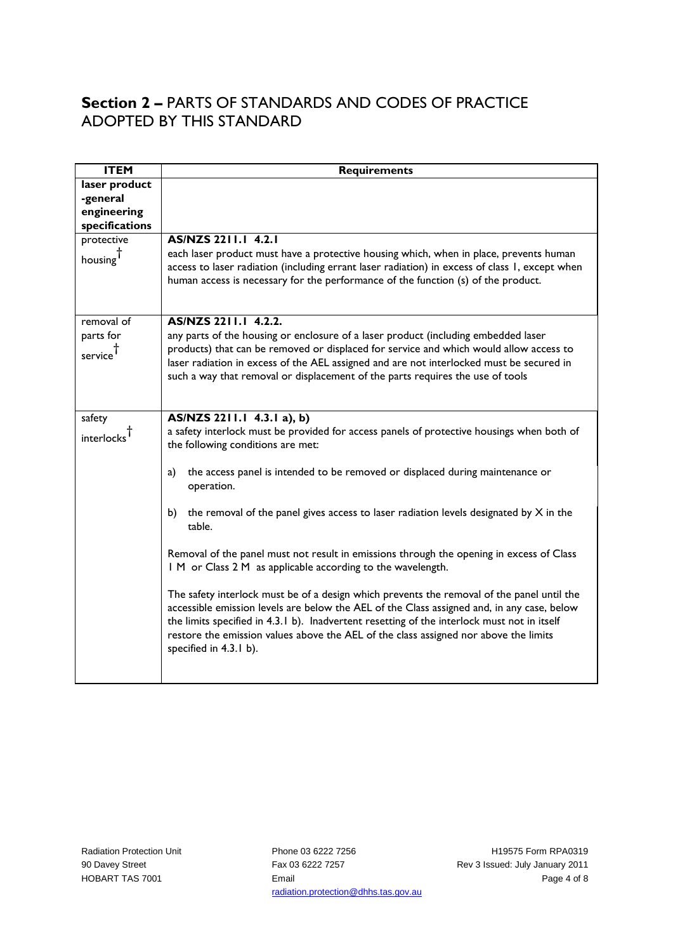### **Section 2 –** PARTS OF STANDARDS AND CODES OF PRACTICE ADOPTED BY THIS STANDARD

| <b>ITEM</b>          | <b>Requirements</b>                                                                                                                                                                                                                                                                                                                                                                                       |
|----------------------|-----------------------------------------------------------------------------------------------------------------------------------------------------------------------------------------------------------------------------------------------------------------------------------------------------------------------------------------------------------------------------------------------------------|
| laser product        |                                                                                                                                                                                                                                                                                                                                                                                                           |
| -general             |                                                                                                                                                                                                                                                                                                                                                                                                           |
| engineering          |                                                                                                                                                                                                                                                                                                                                                                                                           |
| specifications       |                                                                                                                                                                                                                                                                                                                                                                                                           |
| protective           | AS/NZS 2211.1 4.2.1                                                                                                                                                                                                                                                                                                                                                                                       |
| housing              | each laser product must have a protective housing which, when in place, prevents human<br>access to laser radiation (including errant laser radiation) in excess of class 1, except when<br>human access is necessary for the performance of the function (s) of the product.                                                                                                                             |
| removal of           | AS/NZS 2211.1 4.2.2.                                                                                                                                                                                                                                                                                                                                                                                      |
| parts for<br>service | any parts of the housing or enclosure of a laser product (including embedded laser<br>products) that can be removed or displaced for service and which would allow access to<br>laser radiation in excess of the AEL assigned and are not interlocked must be secured in<br>such a way that removal or displacement of the parts requires the use of tools                                                |
| safety               | AS/NZS 2211.1 4.3.1 a), b)                                                                                                                                                                                                                                                                                                                                                                                |
| interlocks           | a safety interlock must be provided for access panels of protective housings when both of<br>the following conditions are met:                                                                                                                                                                                                                                                                            |
|                      | the access panel is intended to be removed or displaced during maintenance or<br>a)<br>operation.                                                                                                                                                                                                                                                                                                         |
|                      | the removal of the panel gives access to laser radiation levels designated by $X$ in the<br>b)<br>table.                                                                                                                                                                                                                                                                                                  |
|                      | Removal of the panel must not result in emissions through the opening in excess of Class<br>I M or Class 2 M as applicable according to the wavelength.                                                                                                                                                                                                                                                   |
|                      | The safety interlock must be of a design which prevents the removal of the panel until the<br>accessible emission levels are below the AEL of the Class assigned and, in any case, below<br>the limits specified in 4.3.1 b). Inadvertent resetting of the interlock must not in itself<br>restore the emission values above the AEL of the class assigned nor above the limits<br>specified in 4.3.1 b). |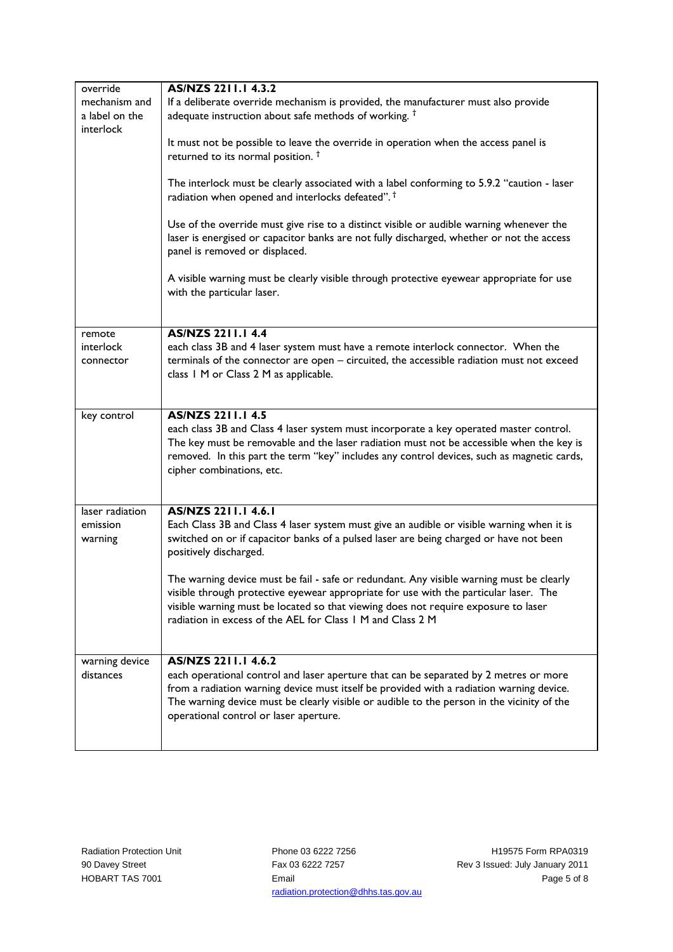| override        | AS/NZS 2211.1 4.3.2                                                                                                                              |
|-----------------|--------------------------------------------------------------------------------------------------------------------------------------------------|
| mechanism and   | If a deliberate override mechanism is provided, the manufacturer must also provide                                                               |
| a label on the  | adequate instruction about safe methods of working. <sup>†</sup>                                                                                 |
| interlock       |                                                                                                                                                  |
|                 | It must not be possible to leave the override in operation when the access panel is                                                              |
|                 | returned to its normal position. <sup>†</sup>                                                                                                    |
|                 |                                                                                                                                                  |
|                 | The interlock must be clearly associated with a label conforming to 5.9.2 "caution - laser                                                       |
|                 | radiation when opened and interlocks defeated". <sup>†</sup>                                                                                     |
|                 | Use of the override must give rise to a distinct visible or audible warning whenever the                                                         |
|                 | laser is energised or capacitor banks are not fully discharged, whether or not the access                                                        |
|                 | panel is removed or displaced.                                                                                                                   |
|                 |                                                                                                                                                  |
|                 | A visible warning must be clearly visible through protective eyewear appropriate for use                                                         |
|                 | with the particular laser.                                                                                                                       |
|                 |                                                                                                                                                  |
|                 |                                                                                                                                                  |
| remote          | <b>AS/NZS 2211.1 4.4</b>                                                                                                                         |
| interlock       | each class 3B and 4 laser system must have a remote interlock connector. When the                                                                |
| connector       | terminals of the connector are open - circuited, the accessible radiation must not exceed                                                        |
|                 | class 1 M or Class 2 M as applicable.                                                                                                            |
|                 |                                                                                                                                                  |
| key control     | <b>AS/NZS 2211.1 4.5</b>                                                                                                                         |
|                 | each class 3B and Class 4 laser system must incorporate a key operated master control.                                                           |
|                 | The key must be removable and the laser radiation must not be accessible when the key is                                                         |
|                 | removed. In this part the term "key" includes any control devices, such as magnetic cards,                                                       |
|                 | cipher combinations, etc.                                                                                                                        |
|                 |                                                                                                                                                  |
|                 |                                                                                                                                                  |
| laser radiation | AS/NZS 2211.1 4.6.1                                                                                                                              |
| emission        | Each Class 3B and Class 4 laser system must give an audible or visible warning when it is                                                        |
| warning         | switched on or if capacitor banks of a pulsed laser are being charged or have not been                                                           |
|                 | positively discharged.                                                                                                                           |
|                 |                                                                                                                                                  |
|                 | The warning device must be fail - safe or redundant. Any visible warning must be clearly                                                         |
|                 | visible through protective eyewear appropriate for use with the particular laser. The                                                            |
|                 | visible warning must be located so that viewing does not require exposure to laser<br>radiation in excess of the AEL for Class 1 M and Class 2 M |
|                 |                                                                                                                                                  |
|                 |                                                                                                                                                  |
| warning device  | AS/NZS 2211.1 4.6.2                                                                                                                              |
| distances       | each operational control and laser aperture that can be separated by 2 metres or more                                                            |
|                 | from a radiation warning device must itself be provided with a radiation warning device.                                                         |
|                 | The warning device must be clearly visible or audible to the person in the vicinity of the                                                       |
|                 | operational control or laser aperture.                                                                                                           |
|                 |                                                                                                                                                  |
|                 |                                                                                                                                                  |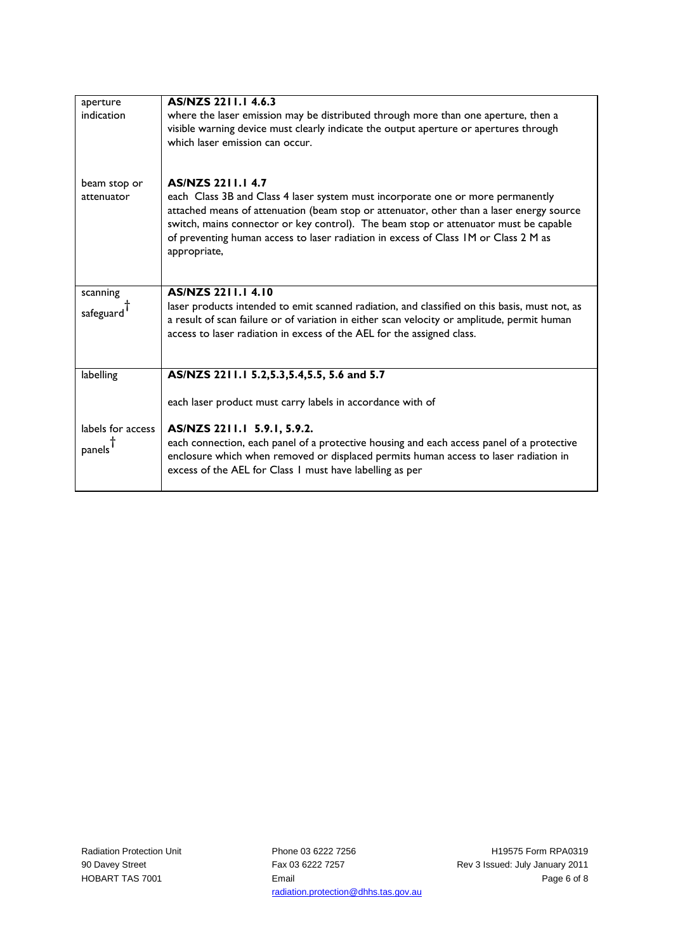| aperture                           | AS/NZS 2211.1 4.6.3                                                                                                                                                                                                                                                                                                                                                                                    |
|------------------------------------|--------------------------------------------------------------------------------------------------------------------------------------------------------------------------------------------------------------------------------------------------------------------------------------------------------------------------------------------------------------------------------------------------------|
| indication                         | where the laser emission may be distributed through more than one aperture, then a<br>visible warning device must clearly indicate the output aperture or apertures through<br>which laser emission can occur.                                                                                                                                                                                         |
| beam stop or<br>attenuator         | <b>AS/NZS 2211.1 4.7</b><br>each Class 3B and Class 4 laser system must incorporate one or more permanently<br>attached means of attenuation (beam stop or attenuator, other than a laser energy source<br>switch, mains connector or key control). The beam stop or attenuator must be capable<br>of preventing human access to laser radiation in excess of Class IM or Class 2 M as<br>appropriate, |
| scanning<br>safeguard <sup>1</sup> | <b>AS/NZS 2211.14.10</b><br>laser products intended to emit scanned radiation, and classified on this basis, must not, as<br>a result of scan failure or of variation in either scan velocity or amplitude, permit human<br>access to laser radiation in excess of the AEL for the assigned class.                                                                                                     |
| labelling                          | AS/NZS 2211.1 5.2,5.3,5.4,5.5, 5.6 and 5.7                                                                                                                                                                                                                                                                                                                                                             |
| labels for access<br>panels        | each laser product must carry labels in accordance with of<br>AS/NZS 2211.1 5.9.1, 5.9.2.<br>each connection, each panel of a protective housing and each access panel of a protective<br>enclosure which when removed or displaced permits human access to laser radiation in<br>excess of the AEL for Class 1 must have labelling as per                                                             |
|                                    |                                                                                                                                                                                                                                                                                                                                                                                                        |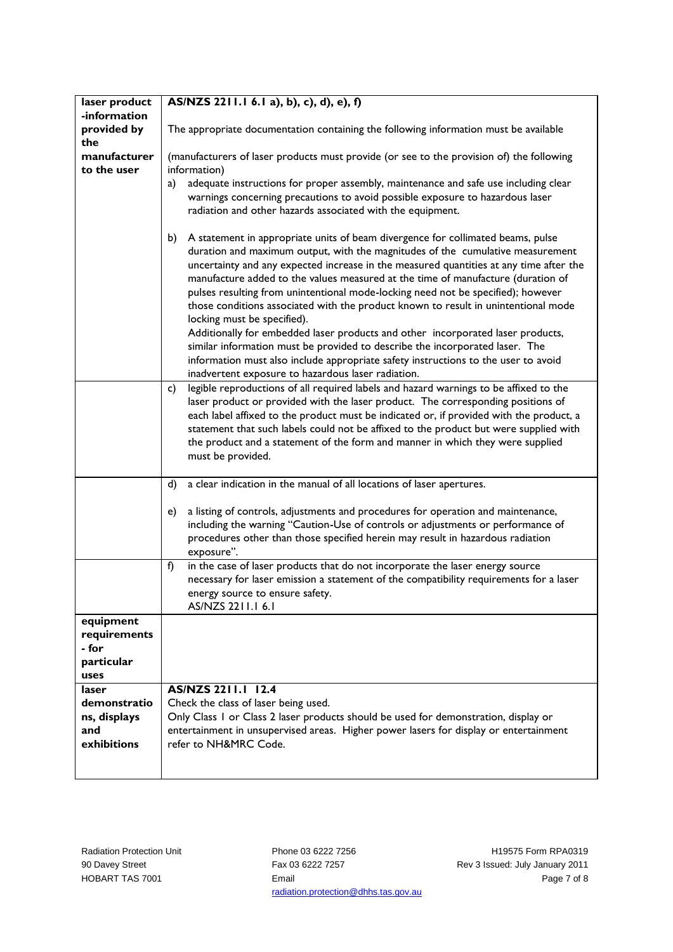| laser product | AS/NZS 2211.1 6.1 a), b), c), d), e), f)                                                    |
|---------------|---------------------------------------------------------------------------------------------|
| -information  |                                                                                             |
| provided by   | The appropriate documentation containing the following information must be available        |
| the           |                                                                                             |
| manufacturer  | (manufacturers of laser products must provide (or see to the provision of) the following    |
| to the user   |                                                                                             |
|               | information)                                                                                |
|               | adequate instructions for proper assembly, maintenance and safe use including clear<br>a)   |
|               | warnings concerning precautions to avoid possible exposure to hazardous laser               |
|               | radiation and other hazards associated with the equipment.                                  |
|               |                                                                                             |
|               | A statement in appropriate units of beam divergence for collimated beams, pulse<br>b)       |
|               | duration and maximum output, with the magnitudes of the cumulative measurement              |
|               |                                                                                             |
|               | uncertainty and any expected increase in the measured quantities at any time after the      |
|               | manufacture added to the values measured at the time of manufacture (duration of            |
|               | pulses resulting from unintentional mode-locking need not be specified); however            |
|               | those conditions associated with the product known to result in unintentional mode          |
|               | locking must be specified).                                                                 |
|               | Additionally for embedded laser products and other incorporated laser products,             |
|               |                                                                                             |
|               | similar information must be provided to describe the incorporated laser. The                |
|               | information must also include appropriate safety instructions to the user to avoid          |
|               | inadvertent exposure to hazardous laser radiation.                                          |
|               | legible reproductions of all required labels and hazard warnings to be affixed to the<br>c) |
|               | laser product or provided with the laser product. The corresponding positions of            |
|               | each label affixed to the product must be indicated or, if provided with the product, a     |
|               |                                                                                             |
|               | statement that such labels could not be affixed to the product but were supplied with       |
|               | the product and a statement of the form and manner in which they were supplied              |
|               | must be provided.                                                                           |
|               |                                                                                             |
|               | a clear indication in the manual of all locations of laser apertures.<br>d)                 |
|               |                                                                                             |
|               | a listing of controls, adjustments and procedures for operation and maintenance,<br>e)      |
|               |                                                                                             |
|               | including the warning "Caution-Use of controls or adjustments or performance of             |
|               | procedures other than those specified herein may result in hazardous radiation              |
|               | exposure".                                                                                  |
|               | in the case of laser products that do not incorporate the laser energy source<br>f)         |
|               | necessary for laser emission a statement of the compatibility requirements for a laser      |
|               | energy source to ensure safety.                                                             |
|               | AS/NZS 2211.1 6.1                                                                           |
| equipment     |                                                                                             |
|               |                                                                                             |
| requirements  |                                                                                             |
| - for         |                                                                                             |
| particular    |                                                                                             |
| uses          |                                                                                             |
| laser         | AS/NZS 2211.1 12.4                                                                          |
| demonstratio  | Check the class of laser being used.                                                        |
| ns, displays  | Only Class 1 or Class 2 laser products should be used for demonstration, display or         |
| and           |                                                                                             |
|               | entertainment in unsupervised areas. Higher power lasers for display or entertainment       |
| exhibitions   | refer to NH&MRC Code.                                                                       |
|               |                                                                                             |
|               |                                                                                             |

Phone 03 6222 7256 Fax 03 6222 7257 Email radiation.protection@dhhs.tas.gov.au